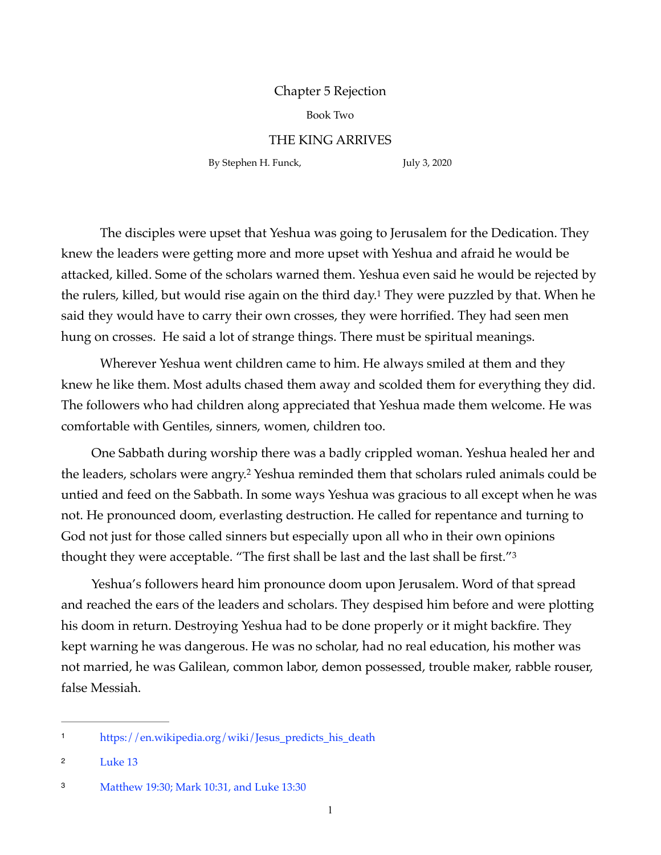## Chapter 5 Rejection

Book Two

## THE KING ARRIVES

By Stephen H. Funck, July 3, 2020

<span id="page-0-5"></span><span id="page-0-3"></span>

The disciples were upset that Yeshua was going to Jerusalem for the Dedication. They knew the leaders were getting more and more upset with Yeshua and afraid he would be attacked, killed. Some of the scholars warned them. Yeshua even said he would be rejected by the rulers, killed, but would rise again on the third day[.](#page-0-0)<sup>[1](#page-0-0)</sup> They were puzzled by that. When he said they would have to carry their own crosses, they were horrified. They had seen men hung on crosses. He said a lot of strange things. There must be spiritual meanings.

Wherever Yeshua went children came to him. He always smiled at them and they knew he like them. Most adults chased them away and scolded them for everything they did. The followers who had children along appreciated that Yeshua made them welcome. He was comfortable with Gentiles, sinners, women, children too.

<span id="page-0-4"></span>One Sabbath during worship there was a badly crippled woman. Yeshua healed her and theleaders, scholars were angry.<sup>[2](#page-0-1)</sup> Yeshua reminded them that scholars ruled animals could be untied and feed on the Sabbath. In some ways Yeshua was gracious to all except when he was not. He pronounced doom, everlasting destruction. He called for repentance and turning to God not just for those called sinners but especially upon all who in their own opinions thought they were acceptable. "The first shall be last and the last shall be first."[3](#page-0-2)

Yeshua's followers heard him pronounce doom upon Jerusalem. Word of that spread and reached the ears of the leaders and scholars. They despised him before and were plotting his doom in return. Destroying Yeshua had to be done properly or it might backfire. They kept warning he was dangerous. He was no scholar, had no real education, his mother was not married, he was Galilean, common labor, demon possessed, trouble maker, rabble rouser, false Messiah.

<span id="page-0-0"></span>https://en.wikipedia.org/wiki/Jesus\_predicts\_his\_death[1](#page-0-3)

<span id="page-0-1"></span>[<sup>2</sup>](#page-0-4) Luke 13

<span id="page-0-2"></span>[<sup>3</sup>](#page-0-5) Matthew 19:30; Mark 10:31, and Luke 13:30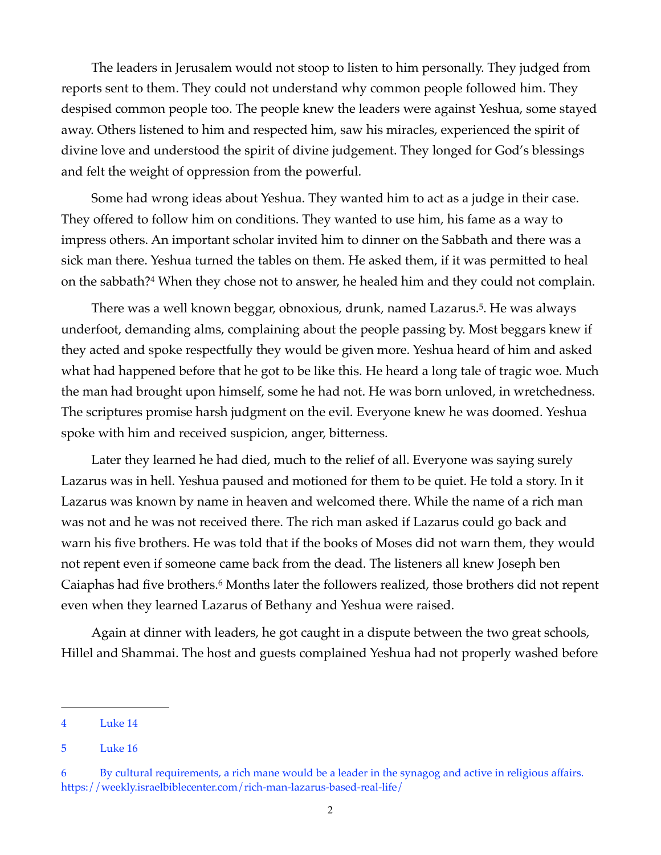The leaders in Jerusalem would not stoop to listen to him personally. They judged from reports sent to them. They could not understand why common people followed him. They despised common people too. The people knew the leaders were against Yeshua, some stayed away. Others listened to him and respected him, saw his miracles, experienced the spirit of divine love and understood the spirit of divine judgement. They longed for God's blessings and felt the weight of oppression from the powerful.

Some had wrong ideas about Yeshua. They wanted him to act as a judge in their case. They offered to follow him on conditions. They wanted to use him, his fame as a way to impress others. An important scholar invited him to dinner on the Sabbath and there was a sick man there. Yeshua turned the tables on them. He asked them, if it was permitted to heal on the sabbath[?](#page-1-0)<sup>[4](#page-1-0)</sup> When they chose not to answer, he healed him and they could not complain.

<span id="page-1-4"></span><span id="page-1-3"></span>There was a well known beggar, obnoxious, drunk, named Lazarus[.](#page-1-1)<sup>[5](#page-1-1)</sup>. He was always underfoot, demanding alms, complaining about the people passing by. Most beggars knew if they acted and spoke respectfully they would be given more. Yeshua heard of him and asked what had happened before that he got to be like this. He heard a long tale of tragic woe. Much the man had brought upon himself, some he had not. He was born unloved, in wretchedness. The scriptures promise harsh judgment on the evil. Everyone knew he was doomed. Yeshua spoke with him and received suspicion, anger, bitterness.

Later they learned he had died, much to the relief of all. Everyone was saying surely Lazarus was in hell. Yeshua paused and motioned for them to be quiet. He told a story. In it Lazarus was known by name in heaven and welcomed there. While the name of a rich man was not and he was not received there. The rich man asked if Lazarus could go back and warn his five brothers. He was told that if the books of Moses did not warn them, they would not repent even if someone came back from the dead. The listeners all knew Joseph ben Caiaphas had five brothers[.](#page-1-2)<sup>[6](#page-1-2)</sup> Months later the followers realized, those brothers did not repent even when they learned Lazarus of Bethany and Yeshua were raised.

<span id="page-1-5"></span>Again at dinner with leaders, he got caught in a dispute between the two great schools, Hillel and Shammai. The host and guests complained Yeshua had not properly washed before

<span id="page-1-0"></span>[<sup>4</sup>](#page-1-3) Luke 14

<span id="page-1-1"></span>[<sup>5</sup>](#page-1-4) Luke 16

<span id="page-1-2"></span>[<sup>6</sup>](#page-1-5) By cultural requirements, a rich mane would be a leader in the synagog and active in religious affairs. <https://weekly.israelbiblecenter.com/rich-man-lazarus-based-real-life/>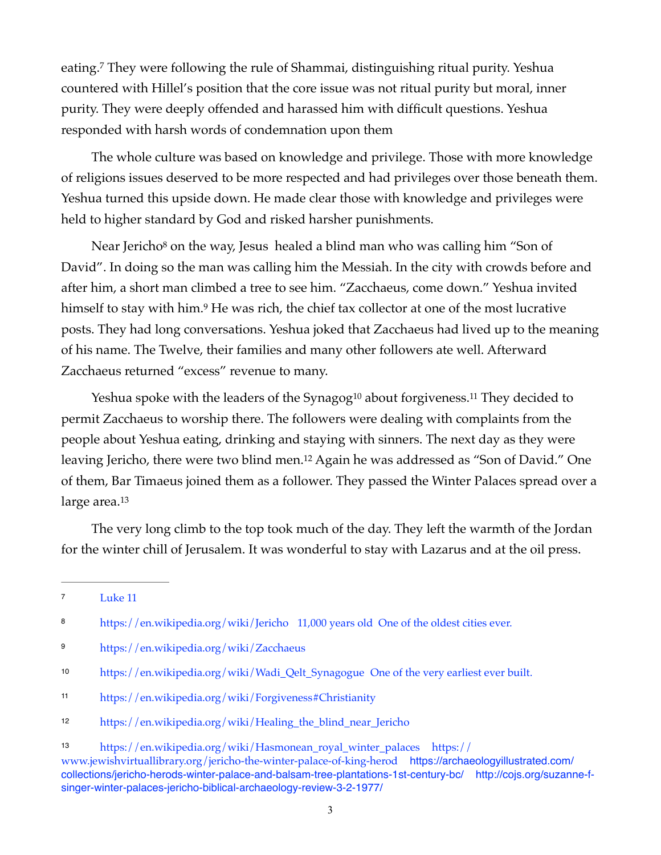<span id="page-2-7"></span>eating[.](#page-2-0)<sup>[7](#page-2-0)</sup> They were following the rule of Shammai, distinguishing ritual purity. Yeshua countered with Hillel's position that the core issue was not ritual purity but moral, inner purity. They were deeply offended and harassed him with difficult questions. Yeshua responded with harsh words of condemnation upon them

The whole culture was based on knowledge and privilege. Those with more knowledge of religions issues deserved to be more respected and had privileges over those beneath them. Yeshua turned this upside down. He made clear those with knowledge and privileges were held to higher standard by God and risked harsher punishments.

<span id="page-2-9"></span><span id="page-2-8"></span>NearJericho<sup>[8](#page-2-1)</sup> on the way, Jesus healed a blind man who was calling him "Son of David". In doing so the man was calling him the Messiah. In the city with crowds before and after him, a short man climbed a tree to see him. "Zacchaeus, come down." Yeshua invited himselfto stay with him.<sup>[9](#page-2-2)</sup> He was rich, the chief tax collector at one of the most lucrative posts. They had long conversations. Yeshua joked that Zacchaeus had lived up to the meaning of his name. The Twelve, their families and many other followers ate well. Afterward Zacchaeus returned "excess" revenue to many.

<span id="page-2-12"></span><span id="page-2-11"></span><span id="page-2-10"></span>Yeshua spoke with the leaders of the Syna[g](#page-2-3)og<sup>[10](#page-2-3)</sup> about forgiveness.<sup>11</sup> They decided to permit Zacchaeus to worship there. The followers were dealing with complaints from the people about Yeshua eating, drinking and staying with sinners. The next day as they were leaving Jericho, there were two blind men[.](#page-2-5)<sup>[12](#page-2-5)</sup> Again he was addressed as "Son of David." One of them, Bar Timaeus joined them as a follower. They passed the Winter Palaces spread over a large area.<sup>13</sup>

<span id="page-2-13"></span>The very long climb to the top took much of the day. They left the warmth of the Jordan for the winter chill of Jerusalem. It was wonderful to stay with Lazarus and at the oil press.

<span id="page-2-0"></span><sup>&</sup>lt;sup>[7](#page-2-7)</sup> Luke 11

<span id="page-2-1"></span><sup>8</sup> <https://en.wikipedia.org/wiki/Jericho> 11,000 years old One of the oldest cities ever.

<span id="page-2-2"></span>https://en.wikipedia.org/wiki/Zacchaeus [9](#page-2-9)

<span id="page-2-3"></span>[https://en.wikipedia.org/wiki/Wadi\\_Qelt\\_Synagogue](https://en.wikipedia.org/wiki/Wadi_Qelt_Synagogue) One of the very earliest ever built. [10](#page-2-10)

<span id="page-2-4"></span>https://en.wikipedia.org/wiki/Forgiveness#Christianity [11](#page-2-11)

<span id="page-2-5"></span>https://en.wikipedia.org/wiki/Healing\_the\_blind\_near\_Jericho [12](#page-2-12)

<span id="page-2-6"></span>[<sup>13</sup>](#page-2-13) [https://en.wikipedia.org/wiki/Hasmonean\\_royal\\_winter\\_palaces](https://en.wikipedia.org/wiki/Hasmonean_royal_winter_palaces) [https://](https://www.jewishvirtuallibrary.org/jericho-the-winter-palace-of-king-herod) [www.jewishvirtuallibrary.org/jericho-the-winter-palace-of-king-herod](https://www.jewishvirtuallibrary.org/jericho-the-winter-palace-of-king-herod) [https://archaeologyillustrated.com/](https://archaeologyillustrated.com/collections/jericho-herods-winter-palace-and-balsam-tree-plantations-1st-century-bc/) [collections/jericho-herods-winter-palace-and-balsam-tree-plantations-1st-century-bc/](https://archaeologyillustrated.com/collections/jericho-herods-winter-palace-and-balsam-tree-plantations-1st-century-bc/) [http://cojs.org/suzanne-f](http://cojs.org/suzanne-f-singer-winter-palaces-jericho-biblical-archaeology-review-3-2-1977/)[singer-winter-palaces-jericho-biblical-archaeology-review-3-2-1977/](http://cojs.org/suzanne-f-singer-winter-palaces-jericho-biblical-archaeology-review-3-2-1977/)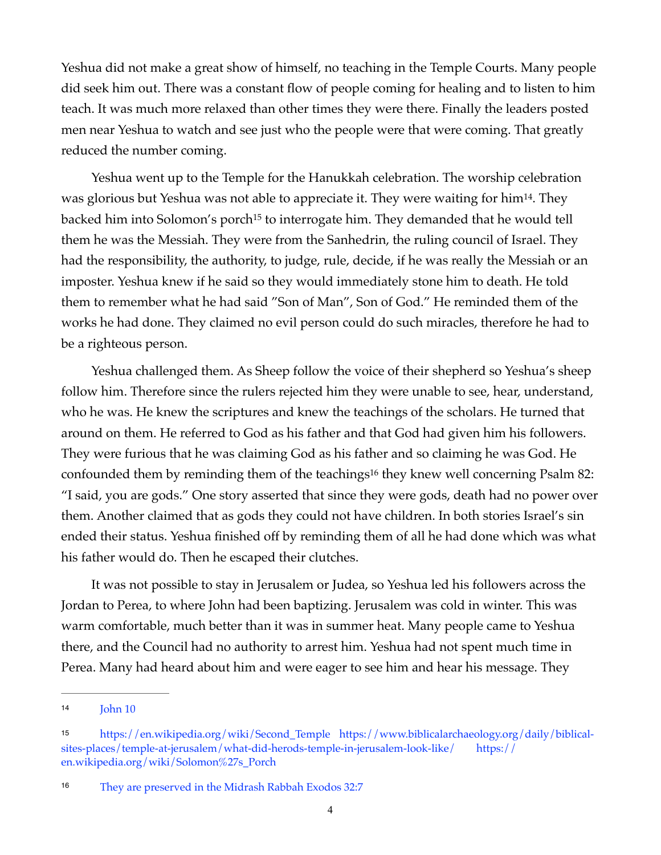Yeshua did not make a great show of himself, no teaching in the Temple Courts. Many people did seek him out. There was a constant flow of people coming for healing and to listen to him teach. It was much more relaxed than other times they were there. Finally the leaders posted men near Yeshua to watch and see just who the people were that were coming. That greatly reduced the number coming.

<span id="page-3-4"></span><span id="page-3-3"></span>Yeshua went up to the Temple for the Hanukkah celebration. The worship celebration was glorious but Yeshua was not able to appreciate it. They were waiting for him<sup>[14](#page-3-0)</sup>. They backed [h](#page-3-1)im into Solomon's porch<sup>[15](#page-3-1)</sup> to interrogate him. They demanded that he would tell them he was the Messiah. They were from the Sanhedrin, the ruling council of Israel. They had the responsibility, the authority, to judge, rule, decide, if he was really the Messiah or an imposter. Yeshua knew if he said so they would immediately stone him to death. He told them to remember what he had said "Son of Man", Son of God." He reminded them of the works he had done. They claimed no evil person could do such miracles, therefore he had to be a righteous person.

<span id="page-3-5"></span>Yeshua challenged them. As Sheep follow the voice of their shepherd so Yeshua's sheep follow him. Therefore since the rulers rejected him they were unable to see, hear, understand, who he was. He knew the scriptures and knew the teachings of the scholars. He turned that around on them. He referred to God as his father and that God had given him his followers. They were furious that he was claiming God as his father and so claiming he was God. He confoundedthem by reminding them of the teachings<sup>[16](#page-3-2)</sup> they knew well concerning Psalm 82: "I said, you are gods." One story asserted that since they were gods, death had no power over them. Another claimed that as gods they could not have children. In both stories Israel's sin ended their status. Yeshua finished off by reminding them of all he had done which was what his father would do. Then he escaped their clutches.

It was not possible to stay in Jerusalem or Judea, so Yeshua led his followers across the Jordan to Perea, to where John had been baptizing. Jerusalem was cold in winter. This was warm comfortable, much better than it was in summer heat. Many people came to Yeshua there, and the Council had no authority to arrest him. Yeshua had not spent much time in Perea. Many had heard about him and were eager to see him and hear his message. They

<span id="page-3-0"></span>John 10 [14](#page-3-3)

<span id="page-3-1"></span>[https://en.wikipedia.org/wiki/Second\\_Temple](https://en.wikipedia.org/wiki/Second_Temple) [https://www.biblicalarchaeology.org/daily/biblical-](https://www.biblicalarchaeology.org/daily/biblical-sites-places/temple-at-jerusalem/what-did-herods-temple-in-jerusalem-look-like/) [15](#page-3-4) [sites-places/temple-at-jerusalem/what-did-herods-temple-in-jerusalem-look-like/](https://www.biblicalarchaeology.org/daily/biblical-sites-places/temple-at-jerusalem/what-did-herods-temple-in-jerusalem-look-like/) [https://](https://en.wikipedia.org/wiki/Solomon%27s_Porch) [en.wikipedia.org/wiki/Solomon%27s\\_Porch](https://en.wikipedia.org/wiki/Solomon%27s_Porch)

<span id="page-3-2"></span>They are preserved in the Midrash Rabbah Exodos 32:7 [16](#page-3-5)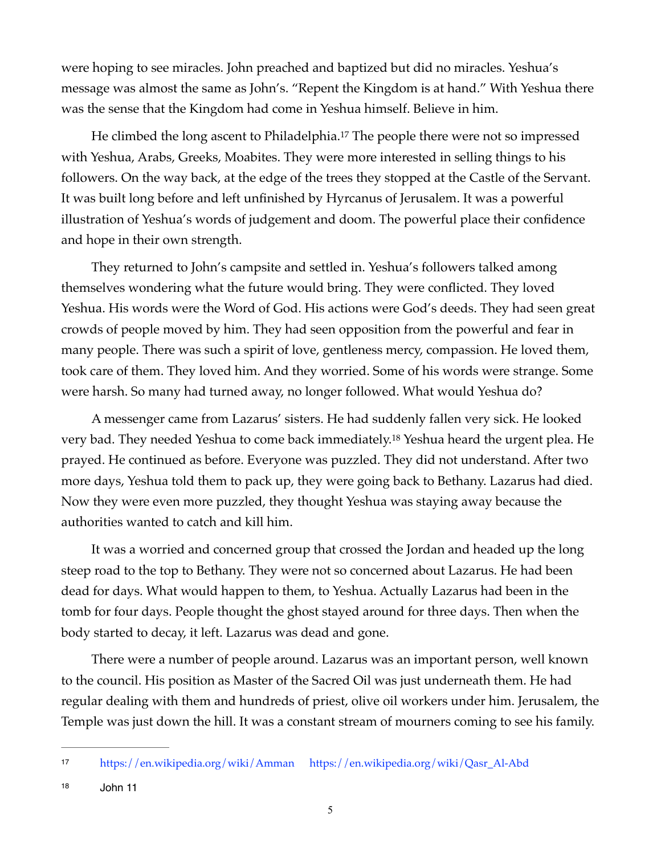were hoping to see miracles. John preached and baptized but did no miracles. Yeshua's message was almost the same as John's. "Repent the Kingdom is at hand." With Yeshua there was the sense that the Kingdom had come in Yeshua himself. Believe in him.

<span id="page-4-2"></span>He climbed the long ascent to Philadelphia[.](#page-4-0)<sup>[17](#page-4-0)</sup> The people there were not so impressed with Yeshua, Arabs, Greeks, Moabites. They were more interested in selling things to his followers. On the way back, at the edge of the trees they stopped at the Castle of the Servant. It was built long before and left unfinished by Hyrcanus of Jerusalem. It was a powerful illustration of Yeshua's words of judgement and doom. The powerful place their confidence and hope in their own strength.

They returned to John's campsite and settled in. Yeshua's followers talked among themselves wondering what the future would bring. They were conflicted. They loved Yeshua. His words were the Word of God. His actions were God's deeds. They had seen great crowds of people moved by him. They had seen opposition from the powerful and fear in many people. There was such a spirit of love, gentleness mercy, compassion. He loved them, took care of them. They loved him. And they worried. Some of his words were strange. Some were harsh. So many had turned away, no longer followed. What would Yeshua do?

<span id="page-4-3"></span>A messenger came from Lazarus' sisters. He had suddenly fallen very sick. He looked very bad[.](#page-4-1) They needed Yeshua to come back immediately.<sup>[18](#page-4-1)</sup> Yeshua heard the urgent plea. He prayed. He continued as before. Everyone was puzzled. They did not understand. After two more days, Yeshua told them to pack up, they were going back to Bethany. Lazarus had died. Now they were even more puzzled, they thought Yeshua was staying away because the authorities wanted to catch and kill him.

It was a worried and concerned group that crossed the Jordan and headed up the long steep road to the top to Bethany. They were not so concerned about Lazarus. He had been dead for days. What would happen to them, to Yeshua. Actually Lazarus had been in the tomb for four days. People thought the ghost stayed around for three days. Then when the body started to decay, it left. Lazarus was dead and gone.

There were a number of people around. Lazarus was an important person, well known to the council. His position as Master of the Sacred Oil was just underneath them. He had regular dealing with them and hundreds of priest, olive oil workers under him. Jerusalem, the Temple was just down the hill. It was a constant stream of mourners coming to see his family.

<span id="page-4-0"></span>https://en.wikipedia.org/wiki/Amman https://en.wikipedia.org/wiki/Qasr\_Al-Abd [17](#page-4-2)

<span id="page-4-1"></span> $18$   $John 11$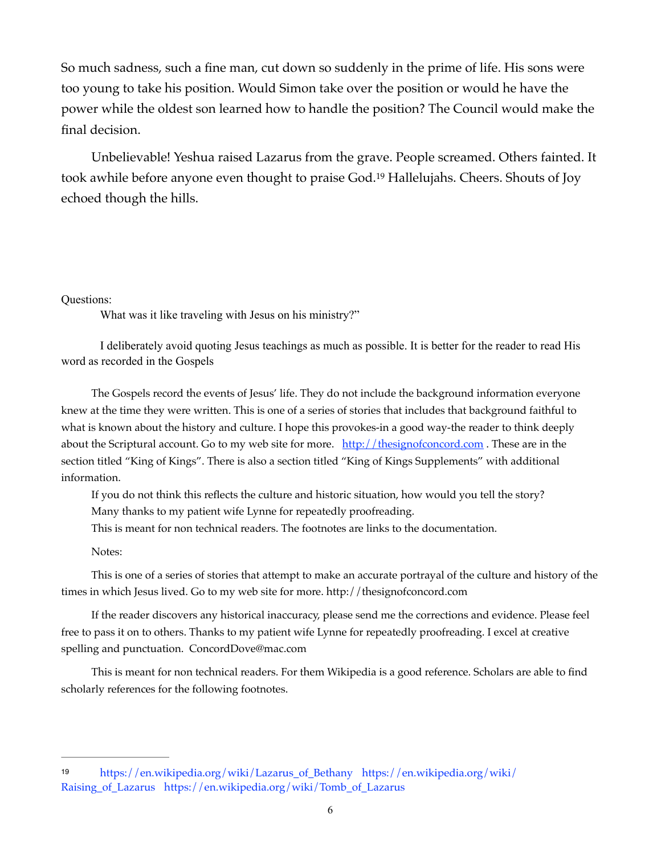So much sadness, such a fine man, cut down so suddenly in the prime of life. His sons were too young to take his position. Would Simon take over the position or would he have the power while the oldest son learned how to handle the position? The Council would make the final decision.

Unbelievable! Yeshua raised Lazarus from the grave. People screamed. Others fainted. It tookawhile before anyone even thought to praise God.<sup>[19](#page-5-0)</sup> Hallelujahs. Cheers. Shouts of Joy echoed though the hills.

## Questions:

<span id="page-5-1"></span>What was it like traveling with Jesus on his ministry?"

 I deliberately avoid quoting Jesus teachings as much as possible. It is better for the reader to read His word as recorded in the Gospels

The Gospels record the events of Jesus' life. They do not include the background information everyone knew at the time they were written. This is one of a series of stories that includes that background faithful to what is known about the history and culture. I hope this provokes-in a good way-the reader to think deeply about the Scriptural account. Go to my web site for more. http://thesignofconcord.com. These are in the section titled "King of Kings". There is also a section titled "King of Kings Supplements" with additional information.

If you do not think this reflects the culture and historic situation, how would you tell the story?

Many thanks to my patient wife Lynne for repeatedly proofreading.

This is meant for non technical readers. The footnotes are links to the documentation.

Notes:

This is one of a series of stories that attempt to make an accurate portrayal of the culture and history of the times in which Jesus lived. Go to my web site for more.<http://thesignofconcord.com>

 If the reader discovers any historical inaccuracy, please send me the corrections and evidence. Please feel free to pass it on to others. Thanks to my patient wife Lynne for repeatedly proofreading. I excel at creative spelling and punctuation. [ConcordDove@mac.com](mailto:ConcordDove@mac.com)

This is meant for non technical readers. For them Wikipedia is a good reference. Scholars are able to find scholarly references for the following footnotes.

<span id="page-5-0"></span>[<sup>19</sup>](#page-5-1) [https://en.wikipedia.org/wiki/Lazarus\\_of\\_Bethany](https://en.wikipedia.org/wiki/Lazarus_of_Bethany) [https://en.wikipedia.org/wiki/](https://en.wikipedia.org/wiki/Raising_of_Lazarus) [Raising\\_of\\_Lazarus](https://en.wikipedia.org/wiki/Raising_of_Lazarus) [https://en.wikipedia.org/wiki/Tomb\\_of\\_Lazarus](https://en.wikipedia.org/wiki/Tomb_of_Lazarus)